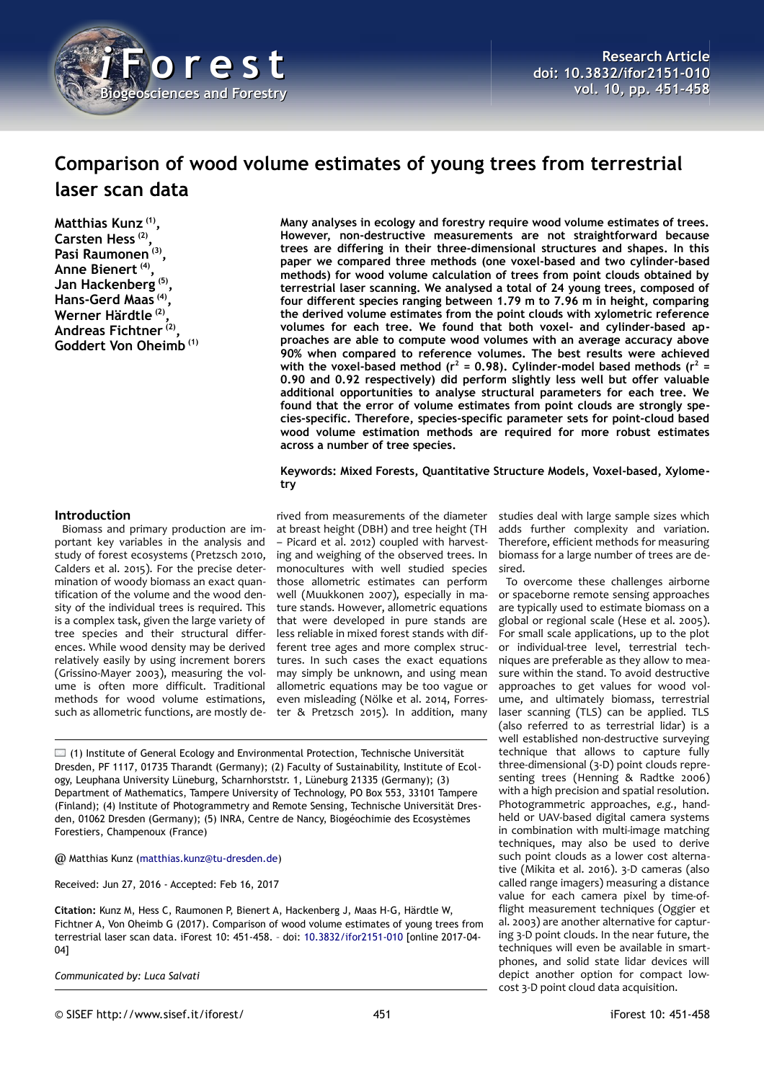

# **Comparison of wood volume estimates of young trees from terrestrial laser scan data**

**Matthias Kunz (1) , Carsten Hess (2) , Pasi Raumonen (3) , Anne Bienert (4) , Jan Hackenberg (5) , Hans-Gerd Maas (4) , Werner Härdtle (2) , Andreas Fichtner (2) , Goddert Von Oheimb (1)** **Many analyses in ecology and forestry require wood volume estimates of trees. However, non-destructive measurements are not straightforward because trees are differing in their three-dimensional structures and shapes. In this paper we compared three methods (one voxel-based and two cylinder-based methods) for wood volume calculation of trees from point clouds obtained by terrestrial laser scanning. We analysed a total of 24 young trees, composed of four different species ranging between 1.79 m to 7.96 m in height, comparing the derived volume estimates from the point clouds with xylometric reference volumes for each tree. We found that both voxel- and cylinder-based approaches are able to compute wood volumes with an average accuracy above 90% when compared to reference volumes. The best results were achieved** with the voxel-based method (r<sup>2</sup> = 0.98). Cylinder-model based methods (r<sup>2</sup> = **0.90 and 0.92 respectively) did perform slightly less well but offer valuable additional opportunities to analyse structural parameters for each tree. We found that the error of volume estimates from point clouds are strongly species-specific. Therefore, species-specific parameter sets for point-cloud based wood volume estimation methods are required for more robust estimates across a number of tree species.**

#### **Keywords: Mixed Forests, Quantitative Structure Models, Voxel-based, Xylometry**

#### **Introduction**

Biomass and primary production are important key variables in the analysis and study of forest ecosystems (Pretzsch 2010, Calders et al. 2015). For the precise determination of woody biomass an exact quantification of the volume and the wood density of the individual trees is required. This is a complex task, given the large variety of tree species and their structural differences. While wood density may be derived relatively easily by using increment borers (Grissino-Mayer 2003), measuring the volume is often more difficult. Traditional methods for wood volume estimations, such as allometric functions, are mostly de-

rived from measurements of the diameter at breast height (DBH) and tree height (TH – Picard et al. 2012) coupled with harvesting and weighing of the observed trees. In monocultures with well studied species those allometric estimates can perform well (Muukkonen 2007), especially in mature stands. However, allometric equations that were developed in pure stands are less reliable in mixed forest stands with different tree ages and more complex structures. In such cases the exact equations may simply be unknown, and using mean allometric equations may be too vague or even misleading (Nölke et al. 2014, Forrester & Pretzsch 2015). In addition, many

 $\Box$  (1) Institute of General Ecology and Environmental Protection, Technische Universität Dresden, PF 1117, 01735 Tharandt (Germany); (2) Faculty of Sustainability, Institute of Ecology, Leuphana University Lüneburg, Scharnhorststr. 1, Lüneburg 21335 (Germany); (3) Department of Mathematics, Tampere University of Technology, PO Box 553, 33101 Tampere (Finland); (4) Institute of Photogrammetry and Remote Sensing, Technische Universität Dresden, 01062 Dresden (Germany); (5) INRA, Centre de Nancy, Biogéochimie des Ecosystèmes Forestiers, Champenoux (France)

@ Matthias Kunz [\(matthias.kunz@tu-dresden.de\)](mailto:matthias.kunz@tu-dresden.de)

Received: Jun 27, 2016 - Accepted: Feb 16, 2017

**Citation:** Kunz M, Hess C, Raumonen P, Bienert A, Hackenberg J, Maas H-G, Härdtle W, Fichtner A, Von Oheimb G (2017). Comparison of wood volume estimates of young trees from terrestrial laser scan data. iForest 10: 451-458. – doi: [10.3832/ifor2151-010](http://www.sisef.it/iforest/contents/?id=ifor2151-010) [online 2017-04- 04]

*Communicated by: Luca Salvati*

studies deal with large sample sizes which adds further complexity and variation. Therefore, efficient methods for measuring biomass for a large number of trees are desired.

To overcome these challenges airborne or spaceborne remote sensing approaches are typically used to estimate biomass on a global or regional scale (Hese et al. 2005). For small scale applications, up to the plot or individual-tree level, terrestrial techniques are preferable as they allow to measure within the stand. To avoid destructive approaches to get values for wood volume, and ultimately biomass, terrestrial laser scanning (TLS) can be applied. TLS (also referred to as terrestrial lidar) is a well established non-destructive surveying technique that allows to capture fully three-dimensional (3-D) point clouds representing trees (Henning & Radtke 2006) with a high precision and spatial resolution. Photogrammetric approaches, *e.g.*, handheld or UAV-based digital camera systems in combination with multi-image matching techniques, may also be used to derive such point clouds as a lower cost alternative (Mikita et al. 2016). 3-D cameras (also called range imagers) measuring a distance value for each camera pixel by time-offlight measurement techniques (Oggier et al. 2003) are another alternative for capturing 3-D point clouds. In the near future, the techniques will even be available in smartphones, and solid state lidar devices will depict another option for compact lowcost 3-D point cloud data acquisition.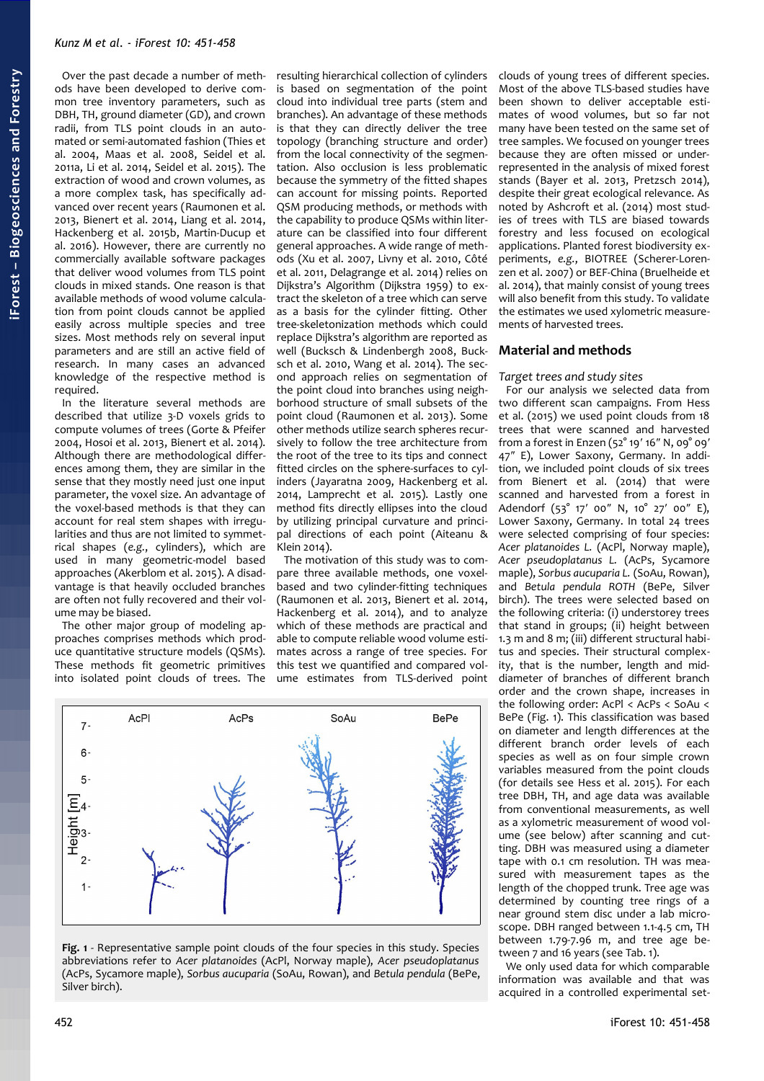Over the past decade a number of methods have been developed to derive common tree inventory parameters, such as DBH, TH, ground diameter (GD), and crown radii, from TLS point clouds in an automated or semi-automated fashion (Thies et al. 2004, Maas et al. 2008, Seidel et al. 2011a, Li et al. 2014, Seidel et al. 2015). The extraction of wood and crown volumes, as a more complex task, has specifically advanced over recent years (Raumonen et al. 2013, Bienert et al. 2014, Liang et al. 2014, Hackenberg et al. 2015b, Martin-Ducup et al. 2016). However, there are currently no commercially available software packages that deliver wood volumes from TLS point clouds in mixed stands. One reason is that available methods of wood volume calculation from point clouds cannot be applied easily across multiple species and tree sizes. Most methods rely on several input parameters and are still an active field of research. In many cases an advanced knowledge of the respective method is required.

In the literature several methods are described that utilize 3-D voxels grids to compute volumes of trees (Gorte & Pfeifer 2004, Hosoi et al. 2013, Bienert et al. 2014). Although there are methodological differences among them, they are similar in the sense that they mostly need just one input parameter, the voxel size. An advantage of the voxel-based methods is that they can account for real stem shapes with irregularities and thus are not limited to symmetrical shapes (*e.g.*, cylinders), which are used in many geometric-model based approaches (Akerblom et al. 2015). A disadvantage is that heavily occluded branches are often not fully recovered and their volume may be biased.

The other major group of modeling approaches comprises methods which produce quantitative structure models (QSMs). These methods fit geometric primitives into isolated point clouds of trees. The

resulting hierarchical collection of cylinders is based on segmentation of the point cloud into individual tree parts (stem and branches). An advantage of these methods is that they can directly deliver the tree topology (branching structure and order) from the local connectivity of the segmentation. Also occlusion is less problematic because the symmetry of the fitted shapes can account for missing points. Reported QSM producing methods, or methods with the capability to produce QSMs within literature can be classified into four different general approaches. A wide range of methods (Xu et al. 2007, Livny et al. 2010, Côté et al. 2011, Delagrange et al. 2014) relies on Dijkstra's Algorithm (Dijkstra 1959) to extract the skeleton of a tree which can serve as a basis for the cylinder fitting. Other tree-skeletonization methods which could replace Dijkstra's algorithm are reported as well (Bucksch & Lindenbergh 2008, Bucksch et al. 2010, Wang et al. 2014). The second approach relies on segmentation of the point cloud into branches using neighborhood structure of small subsets of the point cloud (Raumonen et al. 2013). Some other methods utilize search spheres recursively to follow the tree architecture from the root of the tree to its tips and connect fitted circles on the sphere-surfaces to cylinders (Jayaratna 2009, Hackenberg et al. 2014, Lamprecht et al. 2015). Lastly one method fits directly ellipses into the cloud by utilizing principal curvature and principal directions of each point (Aiteanu & Klein 2014).

The motivation of this study was to compare three available methods, one voxelbased and two cylinder-fitting techniques (Raumonen et al. 2013, Bienert et al. 2014, Hackenberg et al. 2014), and to analyze which of these methods are practical and able to compute reliable wood volume estimates across a range of tree species. For this test we quantified and compared volume estimates from TLS-derived point



<span id="page-1-0"></span>

clouds of young trees of different species. Most of the above TLS-based studies have been shown to deliver acceptable estimates of wood volumes, but so far not many have been tested on the same set of tree samples. We focused on younger trees because they are often missed or underrepresented in the analysis of mixed forest stands (Bayer et al. 2013, Pretzsch 2014), despite their great ecological relevance. As noted by Ashcroft et al. (2014) most studies of trees with TLS are biased towards forestry and less focused on ecological applications. Planted forest biodiversity experiments, *e.g.*, BIOTREE (Scherer-Lorenzen et al. 2007) or BEF-China (Bruelheide et al. 2014), that mainly consist of young trees will also benefit from this study. To validate the estimates we used xylometric measurements of harvested trees.

## **Material and methods**

#### *Target trees and study sites*

For our analysis we selected data from two different scan campaigns. From Hess et al. (2015) we used point clouds from 18 trees that were scanned and harvested from a forest in Enzen (52° 19′ 16″ N, 09° 09′ 47″ E), Lower Saxony, Germany. In addition, we included point clouds of six trees from Bienert et al. (2014) that were scanned and harvested from a forest in Adendorf (53° 17′ 00″ N, 10° 27′ 00″ E), Lower Saxony, Germany. In total 24 trees were selected comprising of four species: *Acer platanoides L.* (AcPl, Norway maple), *Acer pseudoplatanus L.* (AcPs, Sycamore maple), *Sorbus aucuparia L.* (SoAu, Rowan), and *Betula pendula ROTH* (BePe, Silver birch). The trees were selected based on the following criteria: (i) understorey trees that stand in groups; (ii) height between 1.3 m and 8 m; (iii) different structural habitus and species. Their structural complexity, that is the number, length and middiameter of branches of different branch order and the crown shape, increases in the following order: AcPl < AcPs < SoAu < BePe [\(Fig. 1\)](#page-1-0). This classification was based on diameter and length differences at the different branch order levels of each species as well as on four simple crown variables measured from the point clouds (for details see Hess et al. 2015). For each tree DBH, TH, and age data was available from conventional measurements, as well as a xylometric measurement of wood volume (see below) after scanning and cutting. DBH was measured using a diameter tape with 0.1 cm resolution. TH was measured with measurement tapes as the length of the chopped trunk. Tree age was determined by counting tree rings of a near ground stem disc under a lab microscope. DBH ranged between 1.1-4.5 cm, TH between 1.79-7.96 m, and tree age between 7 and 16 years (see [Tab. 1\)](#page-2-0).

We only used data for which comparable information was available and that was acquired in a controlled experimental set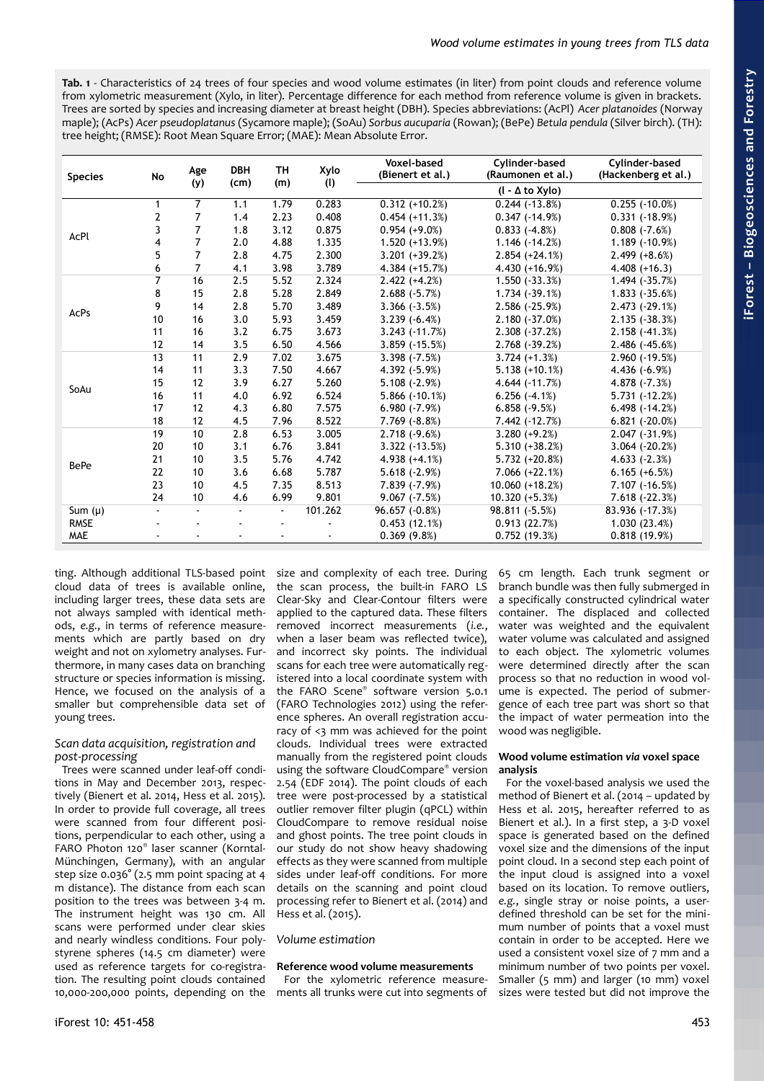<span id="page-2-0"></span>**Tab. 1** - Characteristics of 24 trees of four species and wood volume estimates (in liter) from point clouds and reference volume from xylometric measurement (Xylo, in liter). Percentage difference for each method from reference volume is given in brackets. Trees are sorted by species and increasing diameter at breast height (DBH). Species abbreviations: (AcPl) *Acer platanoides* (Norway maple); (AcPs) *Acer pseudoplatanus* (Sycamore maple); (SoAu) *Sorbus aucuparia* (Rowan); (BePe) *Betula pendula* (Silver birch). (TH): tree height; (RMSE): Root Mean Square Error; (MAE): Mean Absolute Error.

| <b>Species</b> | <b>No</b>      | Age            | <b>DBH</b><br>(cm) | <b>TH</b><br>(m) | Xylo    | Voxel-based<br>(Bienert et al.) | Cylinder-based<br>(Raumonen et al.) | Cylinder-based<br>(Hackenberg et al.) |
|----------------|----------------|----------------|--------------------|------------------|---------|---------------------------------|-------------------------------------|---------------------------------------|
|                |                | (y)            |                    |                  | (1)     |                                 | $(l - \Delta$ to Xylo)              |                                       |
|                | 1              | 7              | 1.1                | 1.79             | 0.283   | $0.312 (+10.2%)$                | $0.244$ $(-13.8%)$                  | $0.255$ ( $-10.0\%$ )                 |
|                | 2              | 7              | 1.4                | 2.23             | 0.408   | $0.454 (+11.3%)$                | $0.347(-14.9%)$                     | $0.331 (+18.9%)$                      |
| AcPl           | 3              | 7              | 1.8                | 3.12             | 0.875   | $0.954 (+9.0%)$                 | $0.833 (+4.8%)$                     | $0.808 (+7.6%)$                       |
|                | 4              | 7              | 2.0                | 4.88             | 1.335   | $1.520 (+13.9%)$                | $1.146(-14.2%)$                     | 1.189 (-10.9%)                        |
|                | 5              | $\overline{7}$ | 2.8                | 4.75             | 2.300   | $3.201 (+39.2%)$                | $2.854 (+24.1%)$                    | $2.499 (+8.6%)$                       |
|                | 6              | 7              | 4.1                | 3.98             | 3.789   | $4.384 (+15.7%)$                | 4.430 (+16.9%)                      | $4.408 (+16.3)$                       |
|                | $\overline{7}$ | 16             | 2.5                | 5.52             | 2.324   | $2.422 (+4.2%)$                 | $1.550(-33.3%)$                     | 1.494 (-35.7%)                        |
|                | 8              | 15             | 2.8                | 5.28             | 2.849   | $2.688 (+5.7%)$                 | $1.734 (+39.1%)$                    | $1.833 (+35.6%)$                      |
| AcPs           | 9              | 14             | 2.8                | 5.70             | 3.489   | $3.366(-3.5%)$                  | $2.586 (+25.9%)$                    | $2.473 (+29.1%)$                      |
|                | 10             | 16             | 3.0                | 5.93             | 3.459   | $3.239(-6.4%)$                  | $2.180(-37.0%)$                     | $2.135(-38.3%)$                       |
|                | 11             | 16             | 3.2                | 6.75             | 3.673   | $3.243 (+11.7%)$                | $2.308(-37.2%)$                     | $2.158 (+41.3%)$                      |
|                | 12             | 14             | 3.5                | 6.50             | 4.566   | $3.859$ ( $-15.5\%$ )           | $2.768 (+39.2%)$                    | $2.486 (+45.6%)$                      |
|                | 13             | 11             | 2.9                | 7.02             | 3.675   | $3.398 (+7.5%)$                 | $3.724 (+1.3%)$                     | $2.960(-19.5%)$                       |
|                | 14             | 11             | 3.3                | 7.50             | 4.667   | $4.392(-5.9%)$                  | $5.138 (+10.1%)$                    | $4.436 (+6.9%)$                       |
| SoAu           | 15             | 12             | 3.9                | 6.27             | 5.260   | $5.108 (+2.9%)$                 | $4.644 (+11.7%)$                    | $4.878 (+7.3%)$                       |
|                | 16             | 11             | 4.0                | 6.92             | 6.524   | $5.866$ ( $-10.1\%$ )           | $6.256(-4.1%)$                      | 5.731 (-12.2%)                        |
|                | 17             | 12             | 4.3                | 6.80             | 7.575   | $6.980(-7.9%)$                  | $6.858(-9.5%)$                      | $6.498 (+14.2%)$                      |
|                | 18             | 12             | 4.5                | 7.96             | 8.522   | $7.769(-8.8%)$                  | 7.442 (-12.7%)                      | $6.821 (+20.0\%)$                     |
|                | 19             | 10             | 2.8                | 6.53             | 3.005   | $2.718(-9.6%)$                  | $3.280 (+9.2%)$                     | $2.047(-31.9%)$                       |
|                | 20             | 10             | 3.1                | 6.76             | 3.841   | $3.322$ ( $-13.5%$ )            | $5.310 (+38.2%)$                    | $3.064 (+20.2%)$                      |
| <b>BePe</b>    | 21             | 10             | 3.5                | 5.76             | 4.742   | $4.938 (+4.1%)$                 | $5.732 (+20.8%)$                    | $4.633(-2.3%)$                        |
|                | 22             | 10             | 3.6                | 6.68             | 5.787   | $5.618 (+2.9%)$                 | $7.066 (+22.1%)$                    | $6.165 (+6.5%)$                       |
|                | 23             | 10             | 4.5                | 7.35             | 8.513   | 7.839 (-7.9%)                   | 10.060 (+18.2%)                     | $7.107(-16.5%)$                       |
|                | 24             | 10             | 4.6                | 6.99             | 9.801   | $9.067 (-7.5%)$                 | $10.320 (+5.3%)$                    | 7.618 (-22.3%)                        |
| Sum $(\mu)$    |                |                | $\blacksquare$     | $\blacksquare$   | 101.262 | 96.657 (-0.8%)                  | 98.811 (-5.5%)                      | 83.936 (-17.3%)                       |
| <b>RMSE</b>    |                |                |                    |                  |         | 0.453(12.1%)                    | 0.913(22.7%)                        | 1.030(23.4%)                          |
| <b>MAE</b>     |                |                |                    |                  |         | 0.369(9.8%)                     | 0.752(19.3%)                        | 0.818(19.9%)                          |

ting. Although additional TLS-based point cloud data of trees is available online, including larger trees, these data sets are not always sampled with identical methods, *e.g.*, in terms of reference measurements which are partly based on dry weight and not on xylometry analyses. Furthermore, in many cases data on branching structure or species information is missing. Hence, we focused on the analysis of a smaller but comprehensible data set of young trees.

# *Scan data acquisition, registration and post-processing*

Trees were scanned under leaf-off conditions in May and December 2013, respectively (Bienert et al. 2014, Hess et al. 2015). In order to provide full coverage, all trees were scanned from four different positions, perpendicular to each other, using a FARO Photon 120® laser scanner (Korntal-Münchingen, Germany), with an angular step size 0.036° (2.5 mm point spacing at 4 m distance). The distance from each scan position to the trees was between 3-4 m. The instrument height was 130 cm. All scans were performed under clear skies and nearly windless conditions. Four polystyrene spheres (14.5 cm diameter) were used as reference targets for co-registration. The resulting point clouds contained 10,000-200,000 points, depending on the

size and complexity of each tree. During the scan process, the built-in FARO LS Clear-Sky and Clear-Contour filters were applied to the captured data. These filters removed incorrect measurements (*i.e.*, when a laser beam was reflected twice), and incorrect sky points. The individual scans for each tree were automatically registered into a local coordinate system with the FARO Scene® software version 5.0.1 (FARO Technologies 2012) using the reference spheres. An overall registration accuracy of <3 mm was achieved for the point clouds. Individual trees were extracted manually from the registered point clouds using the software CloudCompare® version 2.54 (EDF 2014). The point clouds of each tree were post-processed by a statistical outlier remover filter plugin (qPCL) within CloudCompare to remove residual noise and ghost points. The tree point clouds in our study do not show heavy shadowing effects as they were scanned from multiple sides under leaf-off conditions. For more details on the scanning and point cloud processing refer to Bienert et al. (2014) and Hess et al. (2015).

# *Volume estimation*

# **Reference wood volume measurements**

For the xylometric reference measurements all trunks were cut into segments of 65 cm length. Each trunk segment or branch bundle was then fully submerged in a specifically constructed cylindrical water container. The displaced and collected water was weighted and the equivalent water volume was calculated and assigned to each object. The xylometric volumes were determined directly after the scan process so that no reduction in wood volume is expected. The period of submergence of each tree part was short so that the impact of water permeation into the wood was negligible.

## **Wood volume estimation** *via* **voxel space analysis**

For the voxel-based analysis we used the method of Bienert et al. (2014 – updated by Hess et al. 2015, hereafter referred to as Bienert et al.). In a first step, a 3-D voxel space is generated based on the defined voxel size and the dimensions of the input point cloud. In a second step each point of the input cloud is assigned into a voxel based on its location. To remove outliers, *e.g.*, single stray or noise points, a userdefined threshold can be set for the minimum number of points that a voxel must contain in order to be accepted. Here we used a consistent voxel size of 7 mm and a minimum number of two points per voxel. Smaller (5 mm) and larger (10 mm) voxel sizes were tested but did not improve the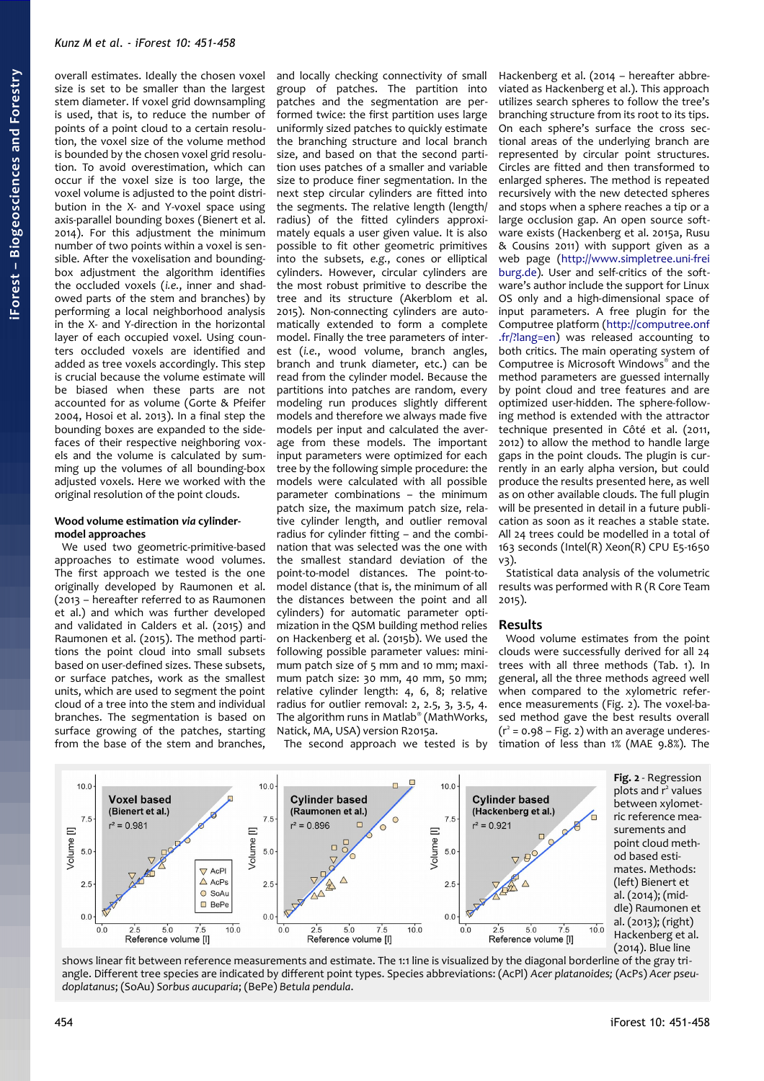overall estimates. Ideally the chosen voxel size is set to be smaller than the largest stem diameter. If voxel grid downsampling is used, that is, to reduce the number of points of a point cloud to a certain resolution, the voxel size of the volume method is bounded by the chosen voxel grid resolution. To avoid overestimation, which can occur if the voxel size is too large, the voxel volume is adjusted to the point distribution in the X- and Y-voxel space using axis-parallel bounding boxes (Bienert et al. 2014). For this adjustment the minimum number of two points within a voxel is sensible. After the voxelisation and boundingbox adjustment the algorithm identifies the occluded voxels (*i.e.*, inner and shadowed parts of the stem and branches) by performing a local neighborhood analysis in the X- and Y-direction in the horizontal layer of each occupied voxel. Using counters occluded voxels are identified and added as tree voxels accordingly. This step is crucial because the volume estimate will be biased when these parts are not accounted for as volume (Gorte & Pfeifer 2004, Hosoi et al. 2013). In a final step the bounding boxes are expanded to the sidefaces of their respective neighboring voxels and the volume is calculated by summing up the volumes of all bounding-box adjusted voxels. Here we worked with the original resolution of the point clouds.

#### **Wood volume estimation** *via* **cylindermodel approaches**

We used two geometric-primitive-based approaches to estimate wood volumes. The first approach we tested is the one originally developed by Raumonen et al. (2013 – hereafter referred to as Raumonen et al.) and which was further developed and validated in Calders et al. (2015) and Raumonen et al. (2015). The method partitions the point cloud into small subsets based on user-defined sizes. These subsets, or surface patches, work as the smallest units, which are used to segment the point cloud of a tree into the stem and individual branches. The segmentation is based on surface growing of the patches, starting from the base of the stem and branches,

and locally checking connectivity of small group of patches. The partition into patches and the segmentation are performed twice: the first partition uses large uniformly sized patches to quickly estimate the branching structure and local branch size, and based on that the second partition uses patches of a smaller and variable size to produce finer segmentation. In the next step circular cylinders are fitted into the segments. The relative length (length/ radius) of the fitted cylinders approximately equals a user given value. It is also possible to fit other geometric primitives into the subsets, *e.g.*, cones or elliptical cylinders. However, circular cylinders are the most robust primitive to describe the tree and its structure (Akerblom et al. 2015). Non-connecting cylinders are automatically extended to form a complete model. Finally the tree parameters of interest (*i.e.*, wood volume, branch angles, branch and trunk diameter, etc.) can be read from the cylinder model. Because the partitions into patches are random, every modeling run produces slightly different models and therefore we always made five models per input and calculated the average from these models. The important input parameters were optimized for each tree by the following simple procedure: the models were calculated with all possible parameter combinations – the minimum patch size, the maximum patch size, relative cylinder length, and outlier removal radius for cylinder fitting – and the combination that was selected was the one with the smallest standard deviation of the point-to-model distances. The point-tomodel distance (that is, the minimum of all the distances between the point and all cylinders) for automatic parameter optimization in the QSM building method relies on Hackenberg et al. (2015b). We used the following possible parameter values: minimum patch size of 5 mm and 10 mm; maximum patch size: 30 mm, 40 mm, 50 mm; relative cylinder length: 4, 6, 8; relative radius for outlier removal: 2, 2.5, 3, 3.5, 4. The algorithm runs in Matlab® (MathWorks, Natick, MA, USA) version R2015a.

The second approach we tested is by

Hackenberg et al. (2014 – hereafter abbreviated as Hackenberg et al.). This approach utilizes search spheres to follow the tree's branching structure from its root to its tips. On each sphere's surface the cross sectional areas of the underlying branch are represented by circular point structures. Circles are fitted and then transformed to enlarged spheres. The method is repeated recursively with the new detected spheres and stops when a sphere reaches a tip or a large occlusion gap. An open source software exists (Hackenberg et al. 2015a, Rusu & Cousins 2011) with support given as a web page [\(http://www.simpletree.uni-frei](http://www.simpletree.uni-freiburg.de/) [burg.de\)](http://www.simpletree.uni-freiburg.de/). User and self-critics of the software's author include the support for Linux OS only and a high-dimensional space of input parameters. A free plugin for the Computree platform [\(http://computree.onf](http://computree.onf.fr/?lang=en) [.fr/?lang=en\)](http://computree.onf.fr/?lang=en) was released accounting to both critics. The main operating system of Computree is Microsoft Windows® and the method parameters are guessed internally by point cloud and tree features and are optimized user-hidden. The sphere-following method is extended with the attractor technique presented in Côté et al. (2011, 2012) to allow the method to handle large gaps in the point clouds. The plugin is currently in an early alpha version, but could produce the results presented here, as well as on other available clouds. The full plugin will be presented in detail in a future publication as soon as it reaches a stable state. All 24 trees could be modelled in a total of 163 seconds (Intel(R) Xeon(R) CPU E5-1650 v3).

Statistical data analysis of the volumetric results was performed with R (R Core Team 2015).

#### **Results**

<span id="page-3-0"></span>Wood volume estimates from the point clouds were successfully derived for all 24 trees with all three methods [\(Tab. 1\)](#page-2-0). In general, all the three methods agreed well when compared to the xylometric reference measurements [\(Fig. 2\)](#page-3-0). The voxel-based method gave the best results overall  $(r^2 = 0.98 - Fig. 2)$  $(r^2 = 0.98 - Fig. 2)$  with an average underestimation of less than 1% (MAE 9.8%). The



shows linear fit between reference measurements and estimate. The 1:1 line is visualized by the diagonal borderline of the gray triangle. Different tree species are indicated by different point types. Species abbreviations: (AcPl) *Acer platanoides;* (AcPs) *Acer pseudoplatanus*; (SoAu) *Sorbus aucuparia*; (BePe) *Betula pendula*.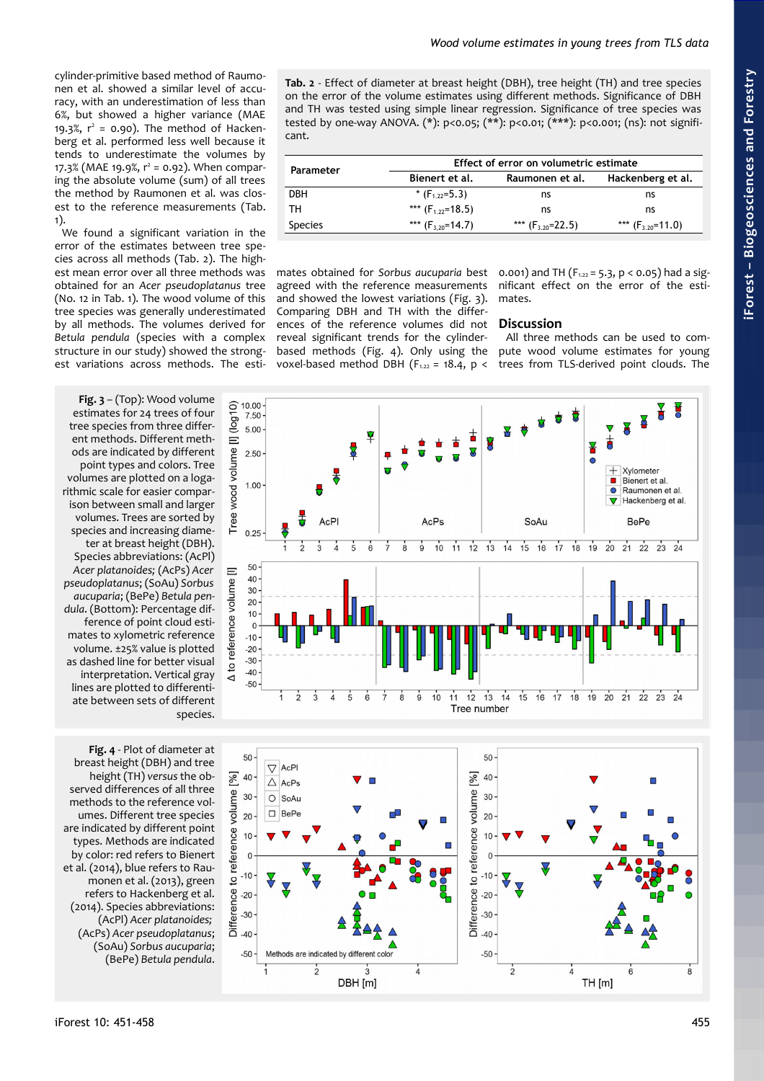cylinder-primitive based method of Raumonen et al. showed a similar level of accuracy, with an underestimation of less than 6%, but showed a higher variance (MAE 19.3%,  $r^2 = 0.90$ ). The method of Hackenberg et al. performed less well because it tends to underestimate the volumes by  $17.3\%$  (MAE 19.9%,  $r^2$  = 0.92). When comparing the absolute volume (sum) of all trees the method by Raumonen et al. was closest to the reference measurements [\(Tab.](#page-2-0) [1\)](#page-2-0).

We found a significant variation in the error of the estimates between tree species across all methods [\(Tab. 2\)](#page-4-2). The highest mean error over all three methods was obtained for an *Acer pseudoplatanus* tree (No. 12 in [Tab. 1\)](#page-2-0). The wood volume of this tree species was generally underestimated by all methods. The volumes derived for *Betula pendula* (species with a complex structure in our study) showed the strongest variations across methods. The esti-

<span id="page-4-1"></span>**Fig. 3** – (Top): Wood volume estimates for 24 trees of four tree species from three different methods. Different methods are indicated by different point types and colors. Tree volumes are plotted on a logarithmic scale for easier comparison between small and larger volumes. Trees are sorted by species and increasing diameter at breast height (DBH). Species abbreviations: (AcPl) *Acer platanoides;* (AcPs) *Acer pseudoplatanus*; (SoAu) *Sorbus aucuparia*; (BePe) *Betula pendula*. (Bottom): Percentage difference of point cloud estimates to xylometric reference volume. ±25% value is plotted as dashed line for better visual interpretation. Vertical gray lines are plotted to differentiate between sets of different species.

<span id="page-4-0"></span>**Fig. 4** - Plot of diameter at breast height (DBH) and tree height (TH) *versus* the observed differences of all three methods to the reference volumes. Different tree species are indicated by different point types. Methods are indicated by color: red refers to Bienert et al. (2014), blue refers to Raumonen et al. (2013), green refers to Hackenberg et al. (2014). Species abbreviations: (AcPl) *Acer platanoides;* (AcPs) *Acer pseudoplatanus*; (SoAu) *Sorbus aucuparia*; (BePe) *Betula pendula*.

<span id="page-4-2"></span>**Tab. 2** - Effect of diameter at breast height (DBH), tree height (TH) and tree species on the error of the volume estimates using different methods. Significance of DBH and TH was tested using simple linear regression. Significance of tree species was tested by one-way ANOVA. (\*): p<0.05; (\*\*): p<0.01; (\*\*\*): p<0.001; (ns): not significant.

| Parameter      | Effect of error on volumetric estimate |                       |                       |  |  |  |
|----------------|----------------------------------------|-----------------------|-----------------------|--|--|--|
|                | Bienert et al.                         | Raumonen et al.       | Hackenberg et al.     |  |  |  |
| <b>DBH</b>     | * $(F1.22=5.3)$                        | ns                    | ns                    |  |  |  |
| тн             | *** $(F_{1,22}=18.5)$                  | ns                    | ns                    |  |  |  |
| <b>Species</b> | *** $(F_{3.20} = 14.7)$                | *** $(F_{3,20}=22.5)$ | *** $(F_{3,20}=11.0)$ |  |  |  |

mates obtained for *Sorbus aucuparia* best agreed with the reference measurements and showed the lowest variations [\(Fig. 3\)](#page-4-1). Comparing DBH and TH with the differences of the reference volumes did not reveal significant trends for the cylinderbased methods [\(Fig. 4\)](#page-4-0). Only using the voxel-based method DBH  $(F_{122} = 18.4, p <$  0.001) and TH ( $F_{1.22} = 5.3$ ,  $p < 0.05$ ) had a significant effect on the error of the estimates.

## **Discussion**

All three methods can be used to compute wood volume estimates for young trees from TLS-derived point clouds. The



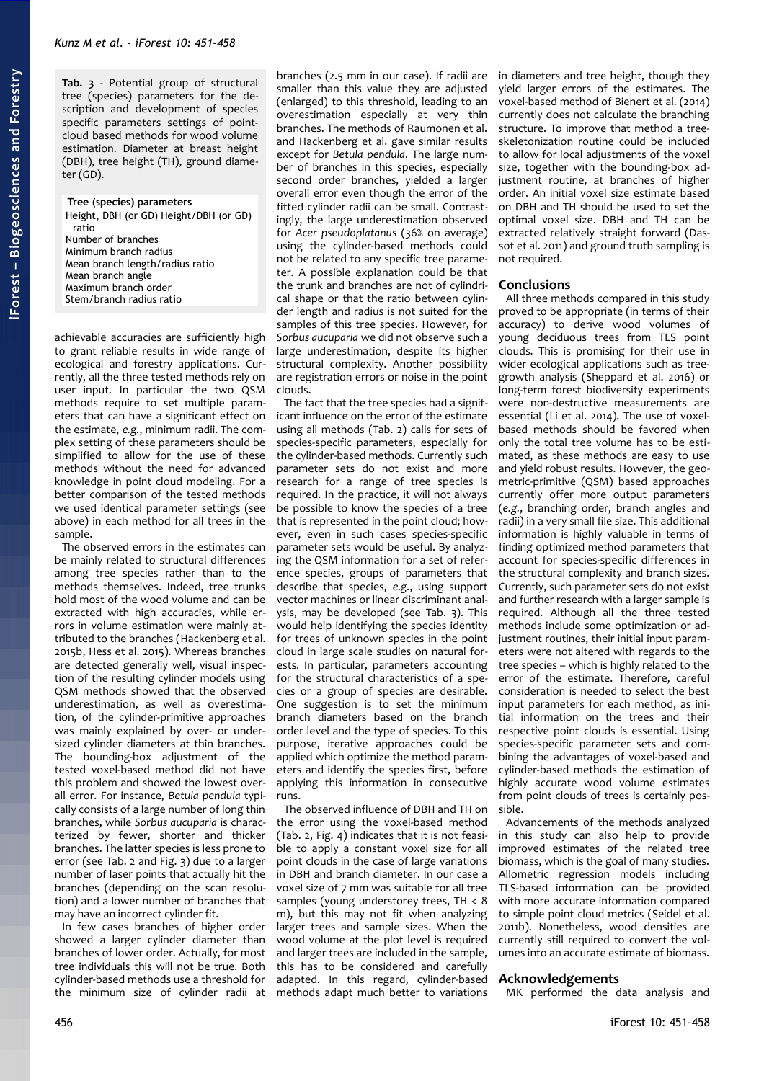<span id="page-5-0"></span>**Tab. 3** - Potential group of structural tree (species) parameters for the description and development of species specific parameters settings of pointcloud based methods for wood volume estimation. Diameter at breast height (DBH), tree height (TH), ground diameter (GD).

| Tree (species) parameters              |
|----------------------------------------|
| Height, DBH (or GD) Height/DBH (or GD) |
| ratio                                  |
| Number of branches                     |
| Minimum branch radius                  |
| Mean branch length/radius ratio        |
| Mean branch angle                      |
| Maximum branch order                   |
| Stem/branch radius ratio               |
|                                        |

achievable accuracies are sufficiently high to grant reliable results in wide range of ecological and forestry applications. Currently, all the three tested methods rely on user input. In particular the two QSM methods require to set multiple parameters that can have a significant effect on the estimate, *e.g.*, minimum radii. The complex setting of these parameters should be simplified to allow for the use of these methods without the need for advanced knowledge in point cloud modeling. For a better comparison of the tested methods we used identical parameter settings (see above) in each method for all trees in the sample.

The observed errors in the estimates can be mainly related to structural differences among tree species rather than to the methods themselves. Indeed, tree trunks hold most of the wood volume and can be extracted with high accuracies, while errors in volume estimation were mainly attributed to the branches (Hackenberg et al. 2015b, Hess et al. 2015). Whereas branches are detected generally well, visual inspection of the resulting cylinder models using QSM methods showed that the observed underestimation, as well as overestimation, of the cylinder-primitive approaches was mainly explained by over- or undersized cylinder diameters at thin branches. The bounding-box adjustment of the tested voxel-based method did not have this problem and showed the lowest overall error. For instance, *Betula pendula* typically consists of a large number of long thin branches, while *Sorbus aucuparia* is characterized by fewer, shorter and thicker branches. The latter species is less prone to error (see [Tab. 2](#page-4-2) and [Fig. 3\)](#page-4-1) due to a larger number of laser points that actually hit the branches (depending on the scan resolution) and a lower number of branches that may have an incorrect cylinder fit.

In few cases branches of higher order showed a larger cylinder diameter than branches of lower order. Actually, for most tree individuals this will not be true. Both cylinder-based methods use a threshold for the minimum size of cylinder radii at

branches (2.5 mm in our case). If radii are smaller than this value they are adjusted (enlarged) to this threshold, leading to an overestimation especially at very thin branches. The methods of Raumonen et al. and Hackenberg et al. gave similar results except for *Betula pendula*. The large number of branches in this species, especially second order branches, yielded a larger overall error even though the error of the fitted cylinder radii can be small. Contrastingly, the large underestimation observed for *Acer pseudoplatanus* (36% on average) using the cylinder-based methods could not be related to any specific tree parameter. A possible explanation could be that the trunk and branches are not of cylindrical shape or that the ratio between cylinder length and radius is not suited for the samples of this tree species. However, for *Sorbus aucuparia* we did not observe such a large underestimation, despite its higher structural complexity. Another possibility are registration errors or noise in the point clouds.

The fact that the tree species had a significant influence on the error of the estimate using all methods [\(Tab. 2\)](#page-4-2) calls for sets of species-specific parameters, especially for the cylinder-based methods. Currently such parameter sets do not exist and more research for a range of tree species is required. In the practice, it will not always be possible to know the species of a tree that is represented in the point cloud; however, even in such cases species-specific parameter sets would be useful. By analyzing the QSM information for a set of reference species, groups of parameters that describe that species, *e.g.*, using support vector machines or linear discriminant analysis, may be developed (see [Tab. 3\)](#page-5-0). This would help identifying the species identity for trees of unknown species in the point cloud in large scale studies on natural forests. In particular, parameters accounting for the structural characteristics of a species or a group of species are desirable. One suggestion is to set the minimum branch diameters based on the branch order level and the type of species. To this purpose, iterative approaches could be applied which optimize the method parameters and identify the species first, before applying this information in consecutive runs.

The observed influence of DBH and TH on the error using the voxel-based method [\(Tab. 2,](#page-4-2) [Fig. 4\)](#page-4-0) indicates that it is not feasible to apply a constant voxel size for all point clouds in the case of large variations in DBH and branch diameter. In our case a voxel size of 7 mm was suitable for all tree samples (young understorey trees, TH < 8 m), but this may not fit when analyzing larger trees and sample sizes. When the wood volume at the plot level is required and larger trees are included in the sample, this has to be considered and carefully adapted. In this regard, cylinder-based methods adapt much better to variations

in diameters and tree height, though they yield larger errors of the estimates. The voxel-based method of Bienert et al. (2014) currently does not calculate the branching structure. To improve that method a treeskeletonization routine could be included to allow for local adjustments of the voxel size, together with the bounding-box adjustment routine, at branches of higher order. An initial voxel size estimate based on DBH and TH should be used to set the optimal voxel size. DBH and TH can be extracted relatively straight forward (Dassot et al. 2011) and ground truth sampling is not required.

## **Conclusions**

All three methods compared in this study proved to be appropriate (in terms of their accuracy) to derive wood volumes of young deciduous trees from TLS point clouds. This is promising for their use in wider ecological applications such as treegrowth analysis (Sheppard et al. 2016) or long-term forest biodiversity experiments were non-destructive measurements are essential (Li et al. 2014). The use of voxelbased methods should be favored when only the total tree volume has to be estimated, as these methods are easy to use and yield robust results. However, the geometric-primitive (QSM) based approaches currently offer more output parameters (*e.g.*, branching order, branch angles and radii) in a very small file size. This additional information is highly valuable in terms of finding optimized method parameters that account for species-specific differences in the structural complexity and branch sizes. Currently, such parameter sets do not exist and further research with a larger sample is required. Although all the three tested methods include some optimization or adjustment routines, their initial input parameters were not altered with regards to the tree species – which is highly related to the error of the estimate. Therefore, careful consideration is needed to select the best input parameters for each method, as initial information on the trees and their respective point clouds is essential. Using species-specific parameter sets and combining the advantages of voxel-based and cylinder-based methods the estimation of highly accurate wood volume estimates from point clouds of trees is certainly possible.

Advancements of the methods analyzed in this study can also help to provide improved estimates of the related tree biomass, which is the goal of many studies. Allometric regression models including TLS-based information can be provided with more accurate information compared to simple point cloud metrics (Seidel et al. 2011b). Nonetheless, wood densities are currently still required to convert the volumes into an accurate estimate of biomass.

#### **Acknowledgements**

MK performed the data analysis and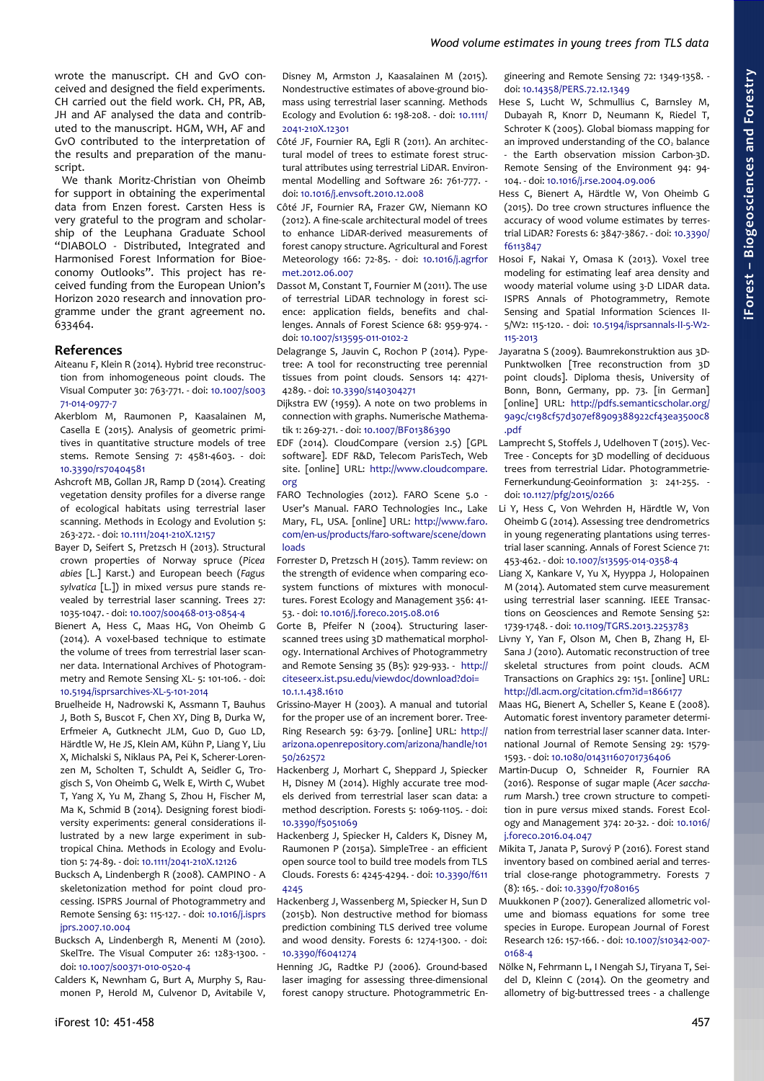wrote the manuscript. CH and GvO conceived and designed the field experiments. CH carried out the field work. CH, PR, AB, JH and AF analysed the data and contributed to the manuscript. HGM, WH, AF and GvO contributed to the interpretation of the results and preparation of the manuscript.

We thank Moritz-Christian von Oheimb for support in obtaining the experimental data from Enzen forest. Carsten Hess is very grateful to the program and scholarship of the Leuphana Graduate School "DIABOLO - Distributed, Integrated and Harmonised Forest Information for Bioeconomy Outlooks". This project has received funding from the European Union's Horizon 2020 research and innovation programme under the grant agreement no. 633464.

## **References**

- Aiteanu F, Klein R (2014). Hybrid tree reconstruction from inhomogeneous point clouds. The Visual Computer 30: 763-771. - doi: [10.1007/s003](http://dx.doi.org/10.1007/s00371-014-0977-7) [71-014-0977-7](http://dx.doi.org/10.1007/s00371-014-0977-7)
- Akerblom M, Raumonen P, Kaasalainen M, Casella E (2015). Analysis of geometric primitives in quantitative structure models of tree stems. Remote Sensing 7: 4581-4603. - doi: [10.3390/rs70404581](http://dx.doi.org/10.3390/rs70404581)
- Ashcroft MB, Gollan JR, Ramp D (2014). Creating vegetation density profiles for a diverse range of ecological habitats using terrestrial laser scanning. Methods in Ecology and Evolution 5: 263-272. - doi: [10.1111/2041-210X.12157](http://dx.doi.org/10.1111/2041-210X.12157)
- Bayer D, Seifert S, Pretzsch H (2013). Structural crown properties of Norway spruce (*Picea abies* [L.] Karst.) and European beech (*Fagus sylvatica* [L.]) in mixed *versus* pure stands revealed by terrestrial laser scanning. Trees 27: 1035-1047. - doi: [10.1007/s00468-013-0854-4](http://dx.doi.org/10.1007/s00468-013-0854-4)
- Bienert A, Hess C, Maas HG, Von Oheimb G (2014). A voxel-based technique to estimate the volume of trees from terrestrial laser scanner data. International Archives of Photogrammetry and Remote Sensing XL- 5: 101-106. - doi: [10.5194/isprsarchives-XL-5-101-2014](http://dx.doi.org/10.5194/isprsarchives-XL-5-101-2014)
- Bruelheide H, Nadrowski K, Assmann T, Bauhus J, Both S, Buscot F, Chen XY, Ding B, Durka W, Erfmeier A, Gutknecht JLM, Guo D, Guo LD, Härdtle W, He JS, Klein AM, Kühn P, Liang Y, Liu X, Michalski S, Niklaus PA, Pei K, Scherer-Lorenzen M, Scholten T, Schuldt A, Seidler G, Trogisch S, Von Oheimb G, Welk E, Wirth C, Wubet T, Yang X, Yu M, Zhang S, Zhou H, Fischer M, Ma K, Schmid B (2014). Designing forest biodiversity experiments: general considerations illustrated by a new large experiment in subtropical China. Methods in Ecology and Evolution 5: 74-89. - doi: [10.1111/2041-210X.12126](http://dx.doi.org/10.1111/2041-210X.12126)
- Bucksch A, Lindenbergh R (2008). CAMPINO A skeletonization method for point cloud processing. ISPRS Journal of Photogrammetry and Remote Sensing 63: 115-127. - doi: [10.1016/j.isprs](http://dx.doi.org/10.1016/j.isprsjprs.2007.10.004) [jprs.2007.10.004](http://dx.doi.org/10.1016/j.isprsjprs.2007.10.004)
- Bucksch A, Lindenbergh R, Menenti M (2010). SkelTre. The Visual Computer 26: 1283-1300. doi: [10.1007/s00371-010-0520-4](http://dx.doi.org/10.1007/s00371-010-0520-4)
- Calders K, Newnham G, Burt A, Murphy S, Raumonen P, Herold M, Culvenor D, Avitabile V,

Disney M, Armston J, Kaasalainen M (2015). Nondestructive estimates of above-ground biomass using terrestrial laser scanning. Methods Ecology and Evolution 6: 198-208. - doi: [10.1111/](http://dx.doi.org/10.1111/2041-210X.12301) [2041-210X.12301](http://dx.doi.org/10.1111/2041-210X.12301)

- Côté JF, Fournier RA, Egli R (2011). An architectural model of trees to estimate forest structural attributes using terrestrial LiDAR. Environmental Modelling and Software 26: 761-777. doi: [10.1016/j.envsoft.2010.12.008](http://dx.doi.org/10.1016/j.envsoft.2010.12.008)
- Côté JF, Fournier RA, Frazer GW, Niemann KO (2012). A fine-scale architectural model of trees to enhance LiDAR-derived measurements of forest canopy structure. Agricultural and Forest Meteorology 166: 72-85. - doi: [10.1016/j.agrfor](http://dx.doi.org/10.1016/j.agrformet.2012.06.007) [met.2012.06.007](http://dx.doi.org/10.1016/j.agrformet.2012.06.007)
- Dassot M, Constant T, Fournier M (2011). The use of terrestrial LiDAR technology in forest science: application fields, benefits and challenges. Annals of Forest Science 68: 959-974. doi: [10.1007/s13595-011-0102-2](http://dx.doi.org/10.1007/s13595-011-0102-2)

Delagrange S, Jauvin C, Rochon P (2014). Pypetree: A tool for reconstructing tree perennial tissues from point clouds. Sensors 14: 4271- 4289. - doi: [10.3390/s140304271](http://dx.doi.org/10.3390/s140304271)

- Dijkstra EW (1959). A note on two problems in connection with graphs. Numerische Mathematik 1: 269-271. - doi: [10.1007/BF01386390](http://dx.doi.org/10.1007/BF01386390)
- EDF (2014). CloudCompare (version 2.5) [GPL software]. EDF R&D, Telecom ParisTech, Web site. [online] URL: [http://www.cloudcompare.](http://www.cloudcompare.org/) [org](http://www.cloudcompare.org/)
- FARO Technologies (2012). FARO Scene 5.0 User's Manual. FARO Technologies Inc., Lake Mary, FL, USA. [online] URL: [http://www.faro.](http://www.faro.com/en-us/products/faro-software/scene/downloads) [com/en-us/products/faro-software/scene/down](http://www.faro.com/en-us/products/faro-software/scene/downloads) [loads](http://www.faro.com/en-us/products/faro-software/scene/downloads)
- Forrester D, Pretzsch H (2015). Tamm review: on the strength of evidence when comparing ecosystem functions of mixtures with monocultures. Forest Ecology and Management 356: 41- 53. - doi: [10.1016/j.foreco.2015.08.016](http://dx.doi.org/10.1016/j.foreco.2015.08.016)
- Gorte B, Pfeifer N (2004). Structuring laserscanned trees using 3D mathematical morphology. International Archives of Photogrammetry and Remote Sensing 35 (B5): 929-933. - [http://](http://citeseerx.ist.psu.edu/viewdoc/download?doi=10.1.1.438.1610&rep=rep1&type=pdf) [citeseerx.ist.psu.edu/viewdoc/download?doi=](http://citeseerx.ist.psu.edu/viewdoc/download?doi=10.1.1.438.1610&rep=rep1&type=pdf) [10.1.1.438.1610](http://citeseerx.ist.psu.edu/viewdoc/download?doi=10.1.1.438.1610&rep=rep1&type=pdf)
- Grissino-Mayer H (2003). A manual and tutorial for the proper use of an increment borer. Tree-Ring Research 59: 63-79. [online] URL: [http://](http://arizona.openrepository.com/arizona/handle/10150/262572) [arizona.openrepository.com/arizona/handle/101](http://arizona.openrepository.com/arizona/handle/10150/262572) [50/262572](http://arizona.openrepository.com/arizona/handle/10150/262572)
- Hackenberg J, Morhart C, Sheppard J, Spiecker H, Disney M (2014). Highly accurate tree models derived from terrestrial laser scan data: a method description. Forests 5: 1069-1105. - doi: [10.3390/f5051069](http://dx.doi.org/10.3390/f5051069)
- Hackenberg J, Spiecker H, Calders K, Disney M, Raumonen P (2015a). SimpleTree - an efficient open source tool to build tree models from TLS Clouds. Forests 6: 4245-4294. - doi: [10.3390/f611](http://dx.doi.org/10.3390/f6114245) [4245](http://dx.doi.org/10.3390/f6114245)
- Hackenberg J, Wassenberg M, Spiecker H, Sun D (2015b). Non destructive method for biomass prediction combining TLS derived tree volume and wood density. Forests 6: 1274-1300. - doi: [10.3390/f6041274](http://dx.doi.org/10.3390/f6041274)
- Henning JG, Radtke PJ (2006). Ground-based laser imaging for assessing three-dimensional forest canopy structure. Photogrammetric En-

gineering and Remote Sensing 72: 1349-1358. doi: [10.14358/PERS.72.12.1349](http://dx.doi.org/10.14358/PERS.72.12.1349)

- Hese S, Lucht W, Schmullius C, Barnsley M, Dubayah R, Knorr D, Neumann K, Riedel T, Schroter K (2005). Global biomass mapping for an improved understanding of the  $CO<sub>2</sub>$  balance - the Earth observation mission Carbon-3D. Remote Sensing of the Environment 94: 94- 104. - doi: [10.1016/j.rse.2004.09.006](http://dx.doi.org/10.1016/j.rse.2004.09.006)
- Hess C, Bienert A, Härdtle W, Von Oheimb G (2015). Do tree crown structures influence the accuracy of wood volume estimates by terrestrial LiDAR? Forests 6: 3847-3867. - doi: [10.3390/](http://dx.doi.org/10.3390/f6113847) [f6113847](http://dx.doi.org/10.3390/f6113847)
- Hosoi F, Nakai Y, Omasa K (2013). Voxel tree modeling for estimating leaf area density and woody material volume using 3-D LIDAR data. ISPRS Annals of Photogrammetry, Remote Sensing and Spatial Information Sciences II-5/W2: 115-120. - doi: [10.5194/isprsannals-II-5-W2-](http://dx.doi.org/10.5194/isprsannals-II-5-W2-115-2013) [115-2013](http://dx.doi.org/10.5194/isprsannals-II-5-W2-115-2013)
- Jayaratna S (2009). Baumrekonstruktion aus 3D-Punktwolken [Tree reconstruction from 3D point clouds]. Diploma thesis, University of Bonn, Bonn, Germany, pp. 73. [in German] [online] URL: [http://pdfs.semanticscholar.org/](http://pdfs.semanticscholar.org/9a9c/c198cf57d307ef8909388922cf43ea3500c8.pdf) [9a9c/c198cf57d307ef8909388922cf43ea3500c8](http://pdfs.semanticscholar.org/9a9c/c198cf57d307ef8909388922cf43ea3500c8.pdf) [.pdf](http://pdfs.semanticscholar.org/9a9c/c198cf57d307ef8909388922cf43ea3500c8.pdf)
- Lamprecht S, Stoffels J, Udelhoven T (2015). Vec-Tree - Concepts for 3D modelling of deciduous trees from terrestrial Lidar. Photogrammetrie-Fernerkundung-Geoinformation 3: 241-255. doi: [10.1127/pfg/2015/0266](http://dx.doi.org/10.1127/pfg/2015/0266)
- Li Y, Hess C, Von Wehrden H, Härdtle W, Von Oheimb G (2014). Assessing tree dendrometrics in young regenerating plantations using terrestrial laser scanning. Annals of Forest Science 71: 453-462. - doi: [10.1007/s13595-014-0358-4](http://dx.doi.org/10.1007/s13595-014-0358-4)
- Liang X, Kankare V, Yu X, Hyyppa J, Holopainen M (2014). Automated stem curve measurement using terrestrial laser scanning. IEEE Transactions on Geosciences and Remote Sensing 52: 1739-1748. - doi: [10.1109/TGRS.2013.2253783](http://dx.doi.org/10.1109/TGRS.2013.2253783)
- Livny Y, Yan F, Olson M, Chen B, Zhang H, El-Sana J (2010). Automatic reconstruction of tree skeletal structures from point clouds. ACM Transactions on Graphics 29: 151. [online] URL: <http://dl.acm.org/citation.cfm?id=1866177>
- Maas HG, Bienert A, Scheller S, Keane E (2008). Automatic forest inventory parameter determination from terrestrial laser scanner data. International Journal of Remote Sensing 29: 1579- 1593. - doi: [10.1080/01431160701736406](http://dx.doi.org/10.1080/01431160701736406)
- Martin-Ducup O, Schneider R, Fournier RA (2016). Response of sugar maple (*Acer saccharum* Marsh.) tree crown structure to competition in pure *versus* mixed stands. Forest Ecology and Management 374: 20-32. - doi: [10.1016/](http://dx.doi.org/10.1016/j.foreco.2016.04.047) [j.foreco.2016.04.047](http://dx.doi.org/10.1016/j.foreco.2016.04.047)
- Mikita T, Janata P, Surový P (2016). Forest stand inventory based on combined aerial and terrestrial close-range photogrammetry. Forests 7 (8): 165. - doi: [10.3390/f7080165](http://dx.doi.org/10.3390/f7080165)
- Muukkonen P (2007). Generalized allometric volume and biomass equations for some tree species in Europe. European Journal of Forest Research 126: 157-166. - doi: [10.1007/s10342-007-](http://dx.doi.org/10.1007/s10342-007-0168-4) [0168-4](http://dx.doi.org/10.1007/s10342-007-0168-4)
- Nölke N, Fehrmann L, I Nengah SJ, Tiryana T, Seidel D, Kleinn C (2014). On the geometry and allometry of big-buttressed trees - a challenge